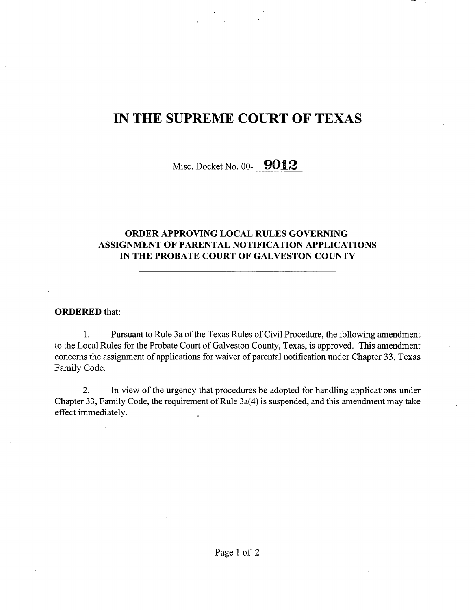# IN THE SUPREME COURT OF TEXAS

Misc. Docket No. 00-  $9012$ 

### **ORDER** APPROVING LOCAL RULES GOVERNING ASSIGNMENT OF PARENTAL NOTIFICATION APPLICATIONS IN THE PROBATE COURT OF GALVESTON COUNTY

#### ORDERED that:

1. Pursuant to Rule 3a of the Texas Rules of Civil Procedure, the following amendment to the Local Rules for the Probate Court of Galveston County, Texas, is approved. This amendment concerns the assignment of applications for waiver of parental notification under Chapter 33, Texas Family Code.

2. In view of the urgency that procedures be adopted for handling applications under Chapter 33, Family Code, the requirement of Rule 3a(4) is suspended, and this amendment may take effect immediately.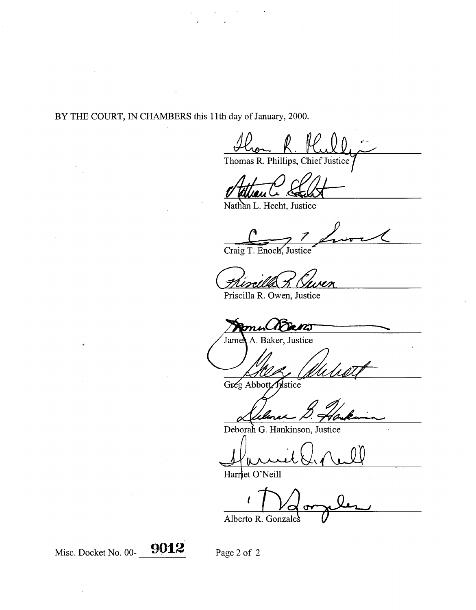BY THE COURT, IN CHAMBERS **this** 11th day of January, 2000.

Thomas R. Phillips, Chief Justice

Nathan L. Hecht, Justice

Craig T. Enoch, Justice

Priscilla R. Owen, Justice

Bans

A. Baker, Justice Jame!

Greg Abbott Wstice

Deborah G. **Hankinson, Justice**

Harriet O'Neill

Alberto R. Gonzales

Misc. Docket No. 00-**9012** Page 2 of 2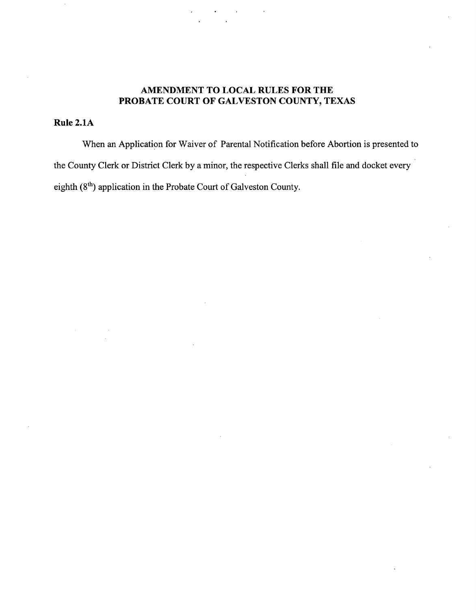#### **AMENDMENT** TO LOCAL **RULES FOR THE PROBATE COURT** OF GALVESTON COUNTY, TEXAS

### Rule 2.1A

When an Application for Waiver of Parental Notification before Abortion is presented to the County Clerk or District Clerk by a minor, the respective Clerks shall file and docket every eighth (8<sup>th</sup>) application in the Probate Court of Galveston County.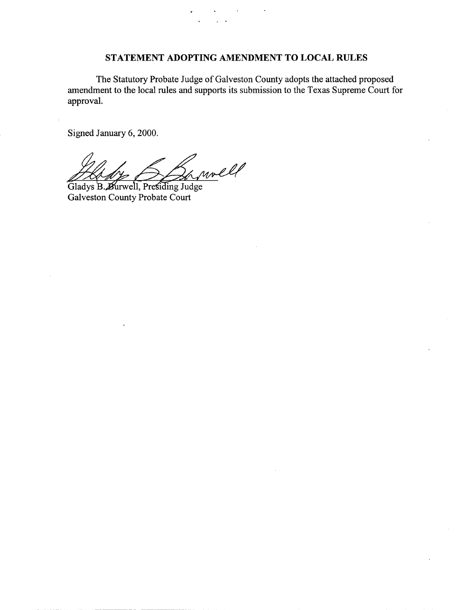### STATEMENT ADOPTING AMENDMENT TO LOCAL RULES

The Statutory Probate Judge of Galveston County adopts the attached proposed amendment to the local rules and supports its submission to the Texas Supreme Court for approval.

Signed January 6, 2000.

amoll ᆋ

Gladys B. Burwell, Presiding Judge Galveston County Probate Court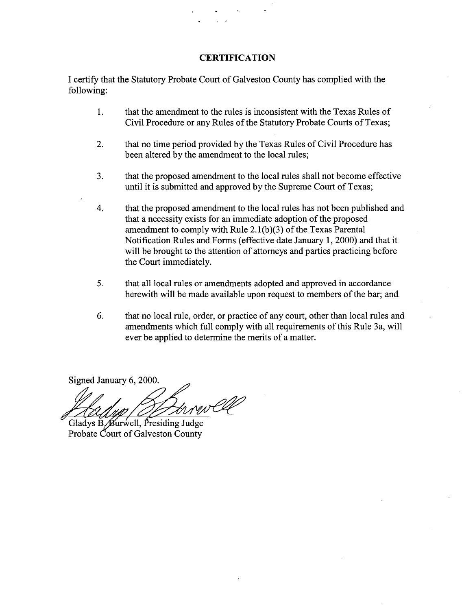#### **CERTIFICATION**

I certify that the Statutory Probate Court of Galveston County has complied with the following:

- **1. that the amendment to the rules is inconsistent with the Texas Rules of** Civil **Procedure or any Rules of the Statutory Probate Courts of Texas;**
- 2. that no time period provided by the Texas Rules of Civil Procedure has been altered by the amendment to the local rules;
- 3. that the proposed amendment to the local rules shall not become effective until it is submitted and approved by the Supreme Court of Texas;
- 4. that the proposed amendment to the local rules has not been published and that a necessity exists for an immediate adoption of the proposed amendment to comply with Rule 2.1(b)(3) of the Texas Parental Notification Rules and Forms (effective date January 1, 2000) and that it will be brought to the attention of attorneys and parties practicing before the Court immediately.
- 5. that all local rules or amendments adopted and approved in accordance herewith will be made available upon request to members of the bar; and
- 6. that no local rule, order, or practice of any court, other than local rules and amendments which full comply with all requirements of this Rule 3a, will ever be applied to determine the merits of a matter.

Signed January 6, 2000.

Gladys B. Burwell, Presiding Judge Probate Court of Galveston County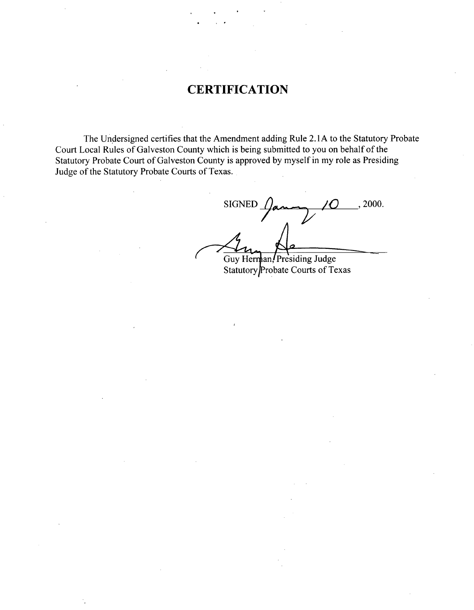## **CERTIFICATION**

The Undersigned certifies that the Amendment adding Rule 2.1 A to the Statutory Probate Court Local Rules of Galveston County which is being submitted to you on behalf of the Statutory Probate Court of Galveston County is approved by myself in my role as Presiding Judge of the Statutory Probate Courts of Texas.

2000. SIGNED Guy Herman, Presiding Judge

Statutory Probate Courts of Texas